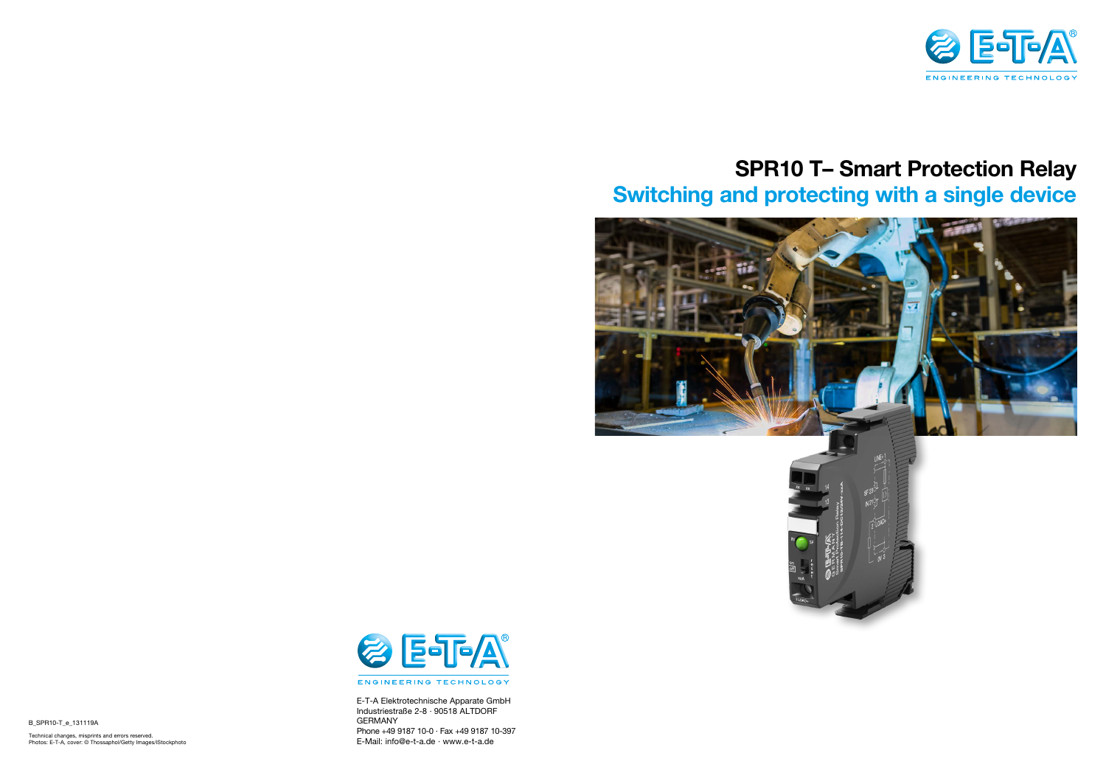## **SPR10 T– Smart Protection Relay Switching and protecting with a single device**







B\_SPR10-T\_e\_131119A

Technical changes, misprints and errors reserved.<br>Photos: E-T-A, cover: © Thossaphol/Getty Images/iStockphoto **and a serve and expansion of the Covert of the Cover** 



E-T-A Elektrotechnische Apparate GmbH Industriestraße 2-8 · 90518 ALTDORF GERMANY Phone +49 9187 10-0 · Fax +49 9187 10-397